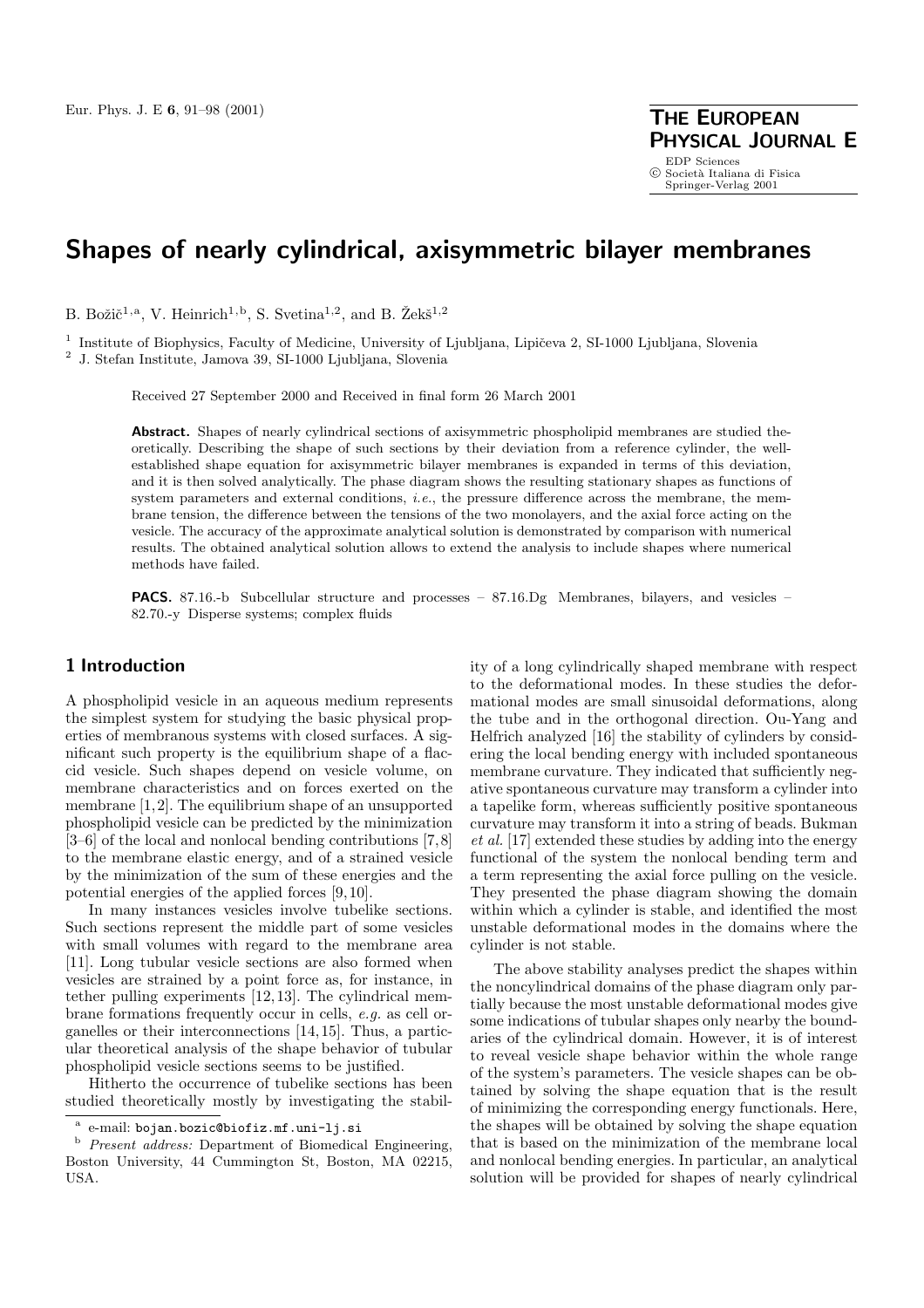**PHYSICAL JOURNAL E** EDP Sciences<br>© Società Italiana di Fisica Springer-Verlag 2001

# **Shapes of nearly cylindrical, axisymmetric bilayer membranes**

B. Božič<sup>1,a</sup>, V. Heinrich<sup>1,b</sup>, S. Svetina<sup>1,2</sup>, and B. Žekš<sup>1,2</sup>

<sup>1</sup> Institute of Biophysics, Faculty of Medicine, University of Ljubljana, Lipičeva 2, SI-1000 Ljubljana, Slovenia

<sup>2</sup> J. Stefan Institute, Jamova 39, SI-1000 Ljubljana, Slovenia

Received 27 September 2000 and Received in final form 26 March 2001

**Abstract.** Shapes of nearly cylindrical sections of axisymmetric phospholipid membranes are studied theoretically. Describing the shape of such sections by their deviation from a reference cylinder, the wellestablished shape equation for axisymmetric bilayer membranes is expanded in terms of this deviation, and it is then solved analytically. The phase diagram shows the resulting stationary shapes as functions of system parameters and external conditions, *i.e.*, the pressure difference across the membrane, the membrane tension, the difference between the tensions of the two monolayers, and the axial force acting on the vesicle. The accuracy of the approximate analytical solution is demonstrated by comparison with numerical results. The obtained analytical solution allows to extend the analysis to include shapes where numerical methods have failed.

**PACS.** 87.16.-b Subcellular structure and processes – 87.16.Dg Membranes, bilayers, and vesicles – 82.70.-y Disperse systems; complex fluids

# **1 Introduction**

A phospholipid vesicle in an aqueous medium represents the simplest system for studying the basic physical properties of membranous systems with closed surfaces. A significant such property is the equilibrium shape of a flaccid vesicle. Such shapes depend on vesicle volume, on membrane characteristics and on forces exerted on the membrane [1,2]. The equilibrium shape of an unsupported phospholipid vesicle can be predicted by the minimization [3–6] of the local and nonlocal bending contributions [7,8] to the membrane elastic energy, and of a strained vesicle by the minimization of the sum of these energies and the potential energies of the applied forces [9, 10].

In many instances vesicles involve tubelike sections. Such sections represent the middle part of some vesicles with small volumes with regard to the membrane area [11]. Long tubular vesicle sections are also formed when vesicles are strained by a point force as, for instance, in tether pulling experiments [12, 13]. The cylindrical membrane formations frequently occur in cells, *e.g.* as cell organelles or their interconnections [14, 15]. Thus, a particular theoretical analysis of the shape behavior of tubular phospholipid vesicle sections seems to be justified.

Hitherto the occurrence of tubelike sections has been studied theoretically mostly by investigating the stability of a long cylindrically shaped membrane with respect to the deformational modes. In these studies the deformational modes are small sinusoidal deformations, along the tube and in the orthogonal direction. Ou-Yang and Helfrich analyzed [16] the stability of cylinders by considering the local bending energy with included spontaneous membrane curvature. They indicated that sufficiently negative spontaneous curvature may transform a cylinder into a tapelike form, whereas sufficiently positive spontaneous curvature may transform it into a string of beads. Bukman *et al.* [17] extended these studies by adding into the energy functional of the system the nonlocal bending term and a term representing the axial force pulling on the vesicle. They presented the phase diagram showing the domain within which a cylinder is stable, and identified the most unstable deformational modes in the domains where the cylinder is not stable.

The above stability analyses predict the shapes within the noncylindrical domains of the phase diagram only partially because the most unstable deformational modes give some indications of tubular shapes only nearby the boundaries of the cylindrical domain. However, it is of interest to reveal vesicle shape behavior within the whole range of the system's parameters. The vesicle shapes can be obtained by solving the shape equation that is the result of minimizing the corresponding energy functionals. Here, the shapes will be obtained by solving the shape equation that is based on the minimization of the membrane local and nonlocal bending energies. In particular, an analytical solution will be provided for shapes of nearly cylindrical

<sup>a</sup> e-mail: bojan.bozic@biofiz.mf.uni-lj.si

<sup>b</sup> Present address: Department of Biomedical Engineering, Boston University, 44 Cummington St, Boston, MA 02215, USA.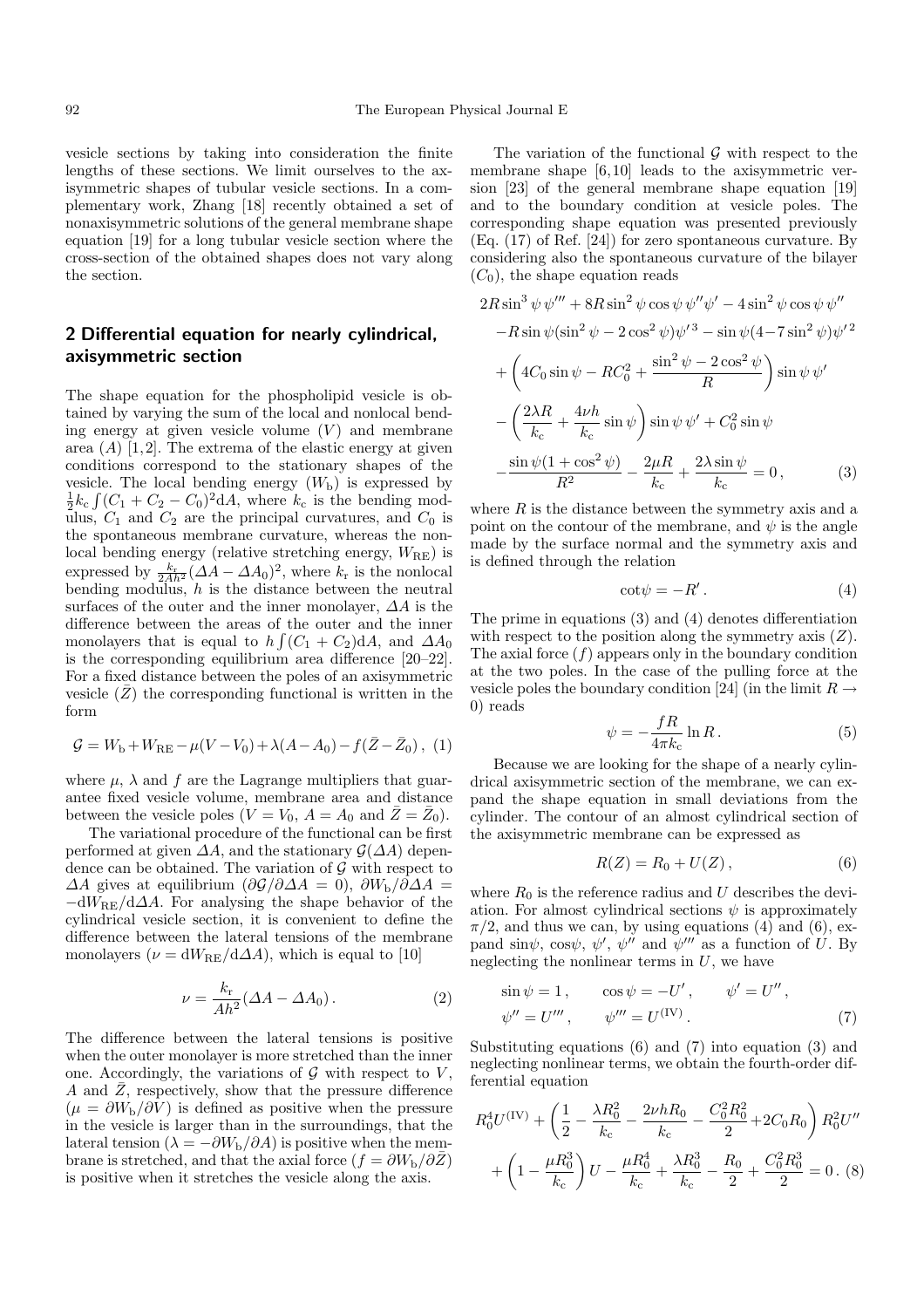vesicle sections by taking into consideration the finite lengths of these sections. We limit ourselves to the axisymmetric shapes of tubular vesicle sections. In a complementary work, Zhang [18] recently obtained a set of nonaxisymmetric solutions of the general membrane shape equation [19] for a long tubular vesicle section where the cross-section of the obtained shapes does not vary along the section.

# **2 Differential equation for nearly cylindrical, axisymmetric section**

The shape equation for the phospholipid vesicle is obtained by varying the sum of the local and nonlocal bending energy at given vesicle volume  $(V)$  and membrane area  $(A)$  [1,2]. The extrema of the elastic energy at given conditions correspond to the stationary shapes of the vesicle. The local bending energy  $(W<sub>b</sub>)$  is expressed by  $\frac{1}{2}k_c\int (C_1 + C_2 - C_0)^2 dA$ , where  $k_c$  is the bending modulus,  $C_1$  and  $C_2$  are the principal curvatures, and  $C_0$  is the spontaneous membrane curvature, whereas the nonlocal bending energy (relative stretching energy,  $W_{\text{RE}}$ ) is expressed by  $\frac{k_r}{2Ah^2} (\Delta A - \Delta A_0)^2$ , where  $k_r$  is the nonlocal bending modulus,  $h$  is the distance between the neutral surfaces of the outer and the inner monolayer,  $\Delta A$  is the difference between the areas of the outer and the inner monolayers that is equal to  $h \int (C_1 + C_2) dA$ , and  $\Delta A_0$ is the corresponding equilibrium area difference [20–22]. For a fixed distance between the poles of an axisymmetric vesicle  $(\bar{Z})$  the corresponding functional is written in the form

$$
\mathcal{G} = W_{\rm b} + W_{\rm RE} - \mu (V - V_0) + \lambda (A - A_0) - f(\bar{Z} - \bar{Z}_0), \tag{1}
$$

where  $\mu$ ,  $\lambda$  and f are the Lagrange multipliers that guarantee fixed vesicle volume, membrane area and distance between the vesicle poles  $(V = V_0, A = A_0 \text{ and } \overline{Z} = \overline{Z}_0).$ 

The variational procedure of the functional can be first performed at given  $\Delta A$ , and the stationary  $\mathcal{G}(\Delta A)$  dependence can be obtained. The variation of  $\mathcal G$  with respect to  $\Delta A$  gives at equilibrium  $\left(\frac{\partial \mathcal{G}}{\partial \Delta A}\right) = 0$ ,  $\frac{\partial W_{\rm b}}{\partial \Delta A}$  $-dW_{\rm RF}/d\Delta A$ . For analysing the shape behavior of the cylindrical vesicle section, it is convenient to define the difference between the lateral tensions of the membrane monolayers ( $\nu = dW_{\text{RE}}/d\Delta A$ ), which is equal to [10]

$$
\nu = \frac{k_{\rm r}}{Ah^2} (\Delta A - \Delta A_0). \tag{2}
$$

The difference between the lateral tensions is positive when the outer monolayer is more stretched than the inner one. Accordingly, the variations of  $\mathcal G$  with respect to  $V$ , A and  $\overline{Z}$ , respectively, show that the pressure difference  $(\mu = \partial W_{\rm b}/\partial V)$  is defined as positive when the pressure in the vesicle is larger than in the surroundings, that the lateral tension ( $\lambda = -\partial W_{\rm b}/\partial A$ ) is positive when the membrane is stretched, and that the axial force  $(f = \partial W_{\rm b}/\partial Z)$ is positive when it stretches the vesicle along the axis.

The variation of the functional  $\mathcal G$  with respect to the membrane shape [6, 10] leads to the axisymmetric version [23] of the general membrane shape equation [19] and to the boundary condition at vesicle poles. The corresponding shape equation was presented previously (Eq. (17) of Ref. [24]) for zero spontaneous curvature. By considering also the spontaneous curvature of the bilayer  $(C_0)$ , the shape equation reads

$$
2R\sin^3\psi\,\psi'' + 8R\sin^2\psi\cos\psi\,\psi''\psi' - 4\sin^2\psi\cos\psi\,\psi''
$$

$$
-R\sin\psi(\sin^2\psi - 2\cos^2\psi)\psi'^3 - \sin\psi(4 - 7\sin^2\psi)\psi'^2
$$

$$
+ \left(4C_0\sin\psi - RC_0^2 + \frac{\sin^2\psi - 2\cos^2\psi}{R}\right)\sin\psi\,\psi'
$$

$$
- \left(\frac{2\lambda R}{k_c} + \frac{4\nu h}{k_c}\sin\psi\right)\sin\psi\,\psi' + C_0^2\sin\psi
$$

$$
- \frac{\sin\psi(1+\cos^2\psi)}{R^2} - \frac{2\mu R}{k_c} + \frac{2\lambda\sin\psi}{k_c} = 0,
$$
(3)

where  $R$  is the distance between the symmetry axis and a point on the contour of the membrane, and  $\psi$  is the angle made by the surface normal and the symmetry axis and is defined through the relation

$$
\cot \psi = -R' \,. \tag{4}
$$

The prime in equations (3) and (4) denotes differentiation with respect to the position along the symmetry axis  $(Z)$ . The axial force  $(f)$  appears only in the boundary condition at the two poles. In the case of the pulling force at the vesicle poles the boundary condition [24] (in the limit  $R \rightarrow$ 0) reads

$$
\psi = -\frac{fR}{4\pi k_{\rm c}} \ln R. \tag{5}
$$

Because we are looking for the shape of a nearly cylindrical axisymmetric section of the membrane, we can expand the shape equation in small deviations from the cylinder. The contour of an almost cylindrical section of the axisymmetric membrane can be expressed as

$$
R(Z) = R_0 + U(Z), \qquad (6)
$$

where  $R_0$  is the reference radius and U describes the deviation. For almost cylindrical sections  $\psi$  is approximately  $\pi/2$ , and thus we can, by using equations (4) and (6), expand  $\sin\psi$ ,  $\cos\psi$ ,  $\psi'$ ,  $\psi''$  and  $\psi'''$  as a function of U. By neglecting the nonlinear terms in  $U$ , we have

$$
\sin \psi = 1, \qquad \cos \psi = -U', \qquad \psi' = U'', \n\psi'' = U''', \qquad \psi''' = U^{(IV)}.
$$
\n(7)

Substituting equations (6) and (7) into equation (3) and neglecting nonlinear terms, we obtain the fourth-order differential equation

$$
R_0^4 U^{(IV)} + \left(\frac{1}{2} - \frac{\lambda R_0^2}{k_c} - \frac{2\nu h R_0}{k_c} - \frac{C_0^2 R_0^2}{2} + 2C_0 R_0\right) R_0^2 U''
$$

$$
+ \left(1 - \frac{\mu R_0^3}{k_c}\right) U - \frac{\mu R_0^4}{k_c} + \frac{\lambda R_0^3}{k_c} - \frac{R_0}{2} + \frac{C_0^2 R_0^3}{2} = 0. \tag{8}
$$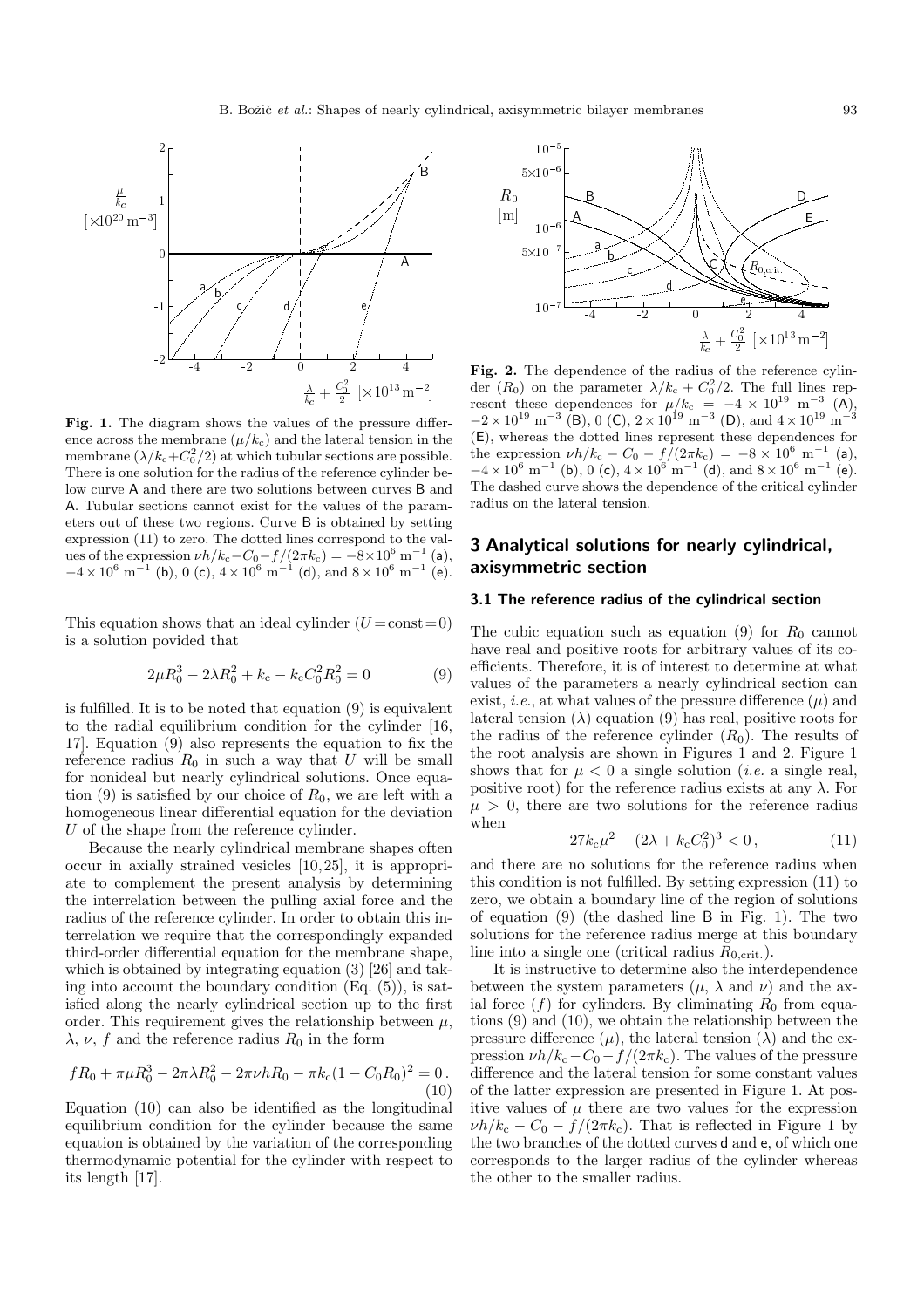

**Fig. 1.** The diagram shows the values of the pressure difference across the membrane  $(\mu/k_c)$  and the lateral tension in the membrane  $(\lambda/k_c + C_0^2/2)$  at which tubular sections are possible. There is one solution for the radius of the reference cylinder below curve A and there are two solutions between curves B and A. Tubular sections cannot exist for the values of the parameters out of these two regions. Curve B is obtained by setting expression (11) to zero. The dotted lines correspond to the values of the expression  $\nu h/k_c - C_0 - f/(2\pi k_c) = -8 \times 10^6 \text{ m}^{-1}$  (a),  $-4 \times 10^6$  m<sup>-1</sup> (b), 0 (c),  $4 \times 10^6$  m<sup>-1</sup> (d), and  $8 \times 10^6$  m<sup>-1</sup> (e).

This equation shows that an ideal cylinder  $(U = const = 0)$ is a solution povided that

$$
2\mu R_0^3 - 2\lambda R_0^2 + k_c - k_c C_0^2 R_0^2 = 0 \tag{9}
$$

is fulfilled. It is to be noted that equation (9) is equivalent to the radial equilibrium condition for the cylinder [16, 17]. Equation (9) also represents the equation to fix the reference radius  $R_0$  in such a way that U will be small for nonideal but nearly cylindrical solutions. Once equation (9) is satisfied by our choice of  $R_0$ , we are left with a homogeneous linear differential equation for the deviation  $U$  of the shape from the reference cylinder.

Because the nearly cylindrical membrane shapes often occur in axially strained vesicles [10, 25], it is appropriate to complement the present analysis by determining the interrelation between the pulling axial force and the radius of the reference cylinder. In order to obtain this interrelation we require that the correspondingly expanded third-order differential equation for the membrane shape, which is obtained by integrating equation (3) [26] and taking into account the boundary condition  $(Eq. (5))$ , is satisfied along the nearly cylindrical section up to the first order. This requirement gives the relationship between  $\mu$ ,  $\lambda$ ,  $\nu$ , f and the reference radius  $R_0$  in the form

$$
fR_0 + \pi \mu R_0^3 - 2\pi \lambda R_0^2 - 2\pi \nu h R_0 - \pi k_c (1 - C_0 R_0)^2 = 0.
$$
\n(10)

Equation (10) can also be identified as the longitudinal equilibrium condition for the cylinder because the same equation is obtained by the variation of the corresponding thermodynamic potential for the cylinder with respect to its length [17].



**Fig. 2.** The dependence of the radius of the reference cylinder  $(R_0)$  on the parameter  $\lambda/k_c + C_0^2/2$ . The full lines represent these dependences for  $\mu/k_c = -4 \times 10^{19} \text{ m}^{-3}$  (A), Fig. 2. The dependence of the radius of the reference cylin- $-2 \times 10^{19}$  m<sup>-3</sup> (B), 0 (C),  $2 \times 10^{19}$  m<sup>-3</sup> (D), and  $4 \times 10^{19}$  m<sup>-3</sup> (E), whereas the dotted lines represent these dependences for the expression  $\nu h/k_c - C_0 - f/(2\pi k_c) = -8 \times 10^6 \text{ m}^{-1}$  (a),  $-4 \times 10^6$  m<sup>-1</sup> (b), 0 (c),  $4 \times 10^6$  m<sup>-1</sup> (d), and  $8 \times 10^6$  m<sup>-1</sup> (e). The dashed curve shows the dependence of the critical cylinder radius on the lateral tension.

# **3 Analytical solutions for nearly cylindrical, axisymmetric section**

#### **3.1 The reference radius of the cylindrical section**

The cubic equation such as equation (9) for  $R_0$  cannot have real and positive roots for arbitrary values of its coefficients. Therefore, it is of interest to determine at what values of the parameters a nearly cylindrical section can exist, *i.e.*, at what values of the pressure difference  $(\mu)$  and lateral tension  $(\lambda)$  equation (9) has real, positive roots for the radius of the reference cylinder  $(R_0)$ . The results of the root analysis are shown in Figures 1 and 2. Figure 1 shows that for  $\mu < 0$  a single solution *(i.e.* a single real, positive root) for the reference radius exists at any  $\lambda$ . For  $\mu > 0$ , there are two solutions for the reference radius when

$$
27k_c\mu^2 - (2\lambda + k_c C_0^2)^3 < 0\,,\tag{11}
$$

and there are no solutions for the reference radius when this condition is not fulfilled. By setting expression (11) to zero, we obtain a boundary line of the region of solutions of equation (9) (the dashed line B in Fig. 1). The two solutions for the reference radius merge at this boundary line into a single one (critical radius  $R_{0,\text{crit.}}$ ).

It is instructive to determine also the interdependence between the system parameters  $(\mu, \lambda \text{ and } \nu)$  and the axial force  $(f)$  for cylinders. By eliminating  $R_0$  from equations (9) and (10), we obtain the relationship between the pressure difference  $(\mu)$ , the lateral tension  $(\lambda)$  and the expression  $\nu h/k_c - C_0 - f/(2\pi k_c)$ . The values of the pressure difference and the lateral tension for some constant values of the latter expression are presented in Figure 1. At positive values of  $\mu$  there are two values for the expression  $\nu h/k_c - C_0 - f/(2\pi k_c)$ . That is reflected in Figure 1 by the two branches of the dotted curves d and e, of which one corresponds to the larger radius of the cylinder whereas the other to the smaller radius.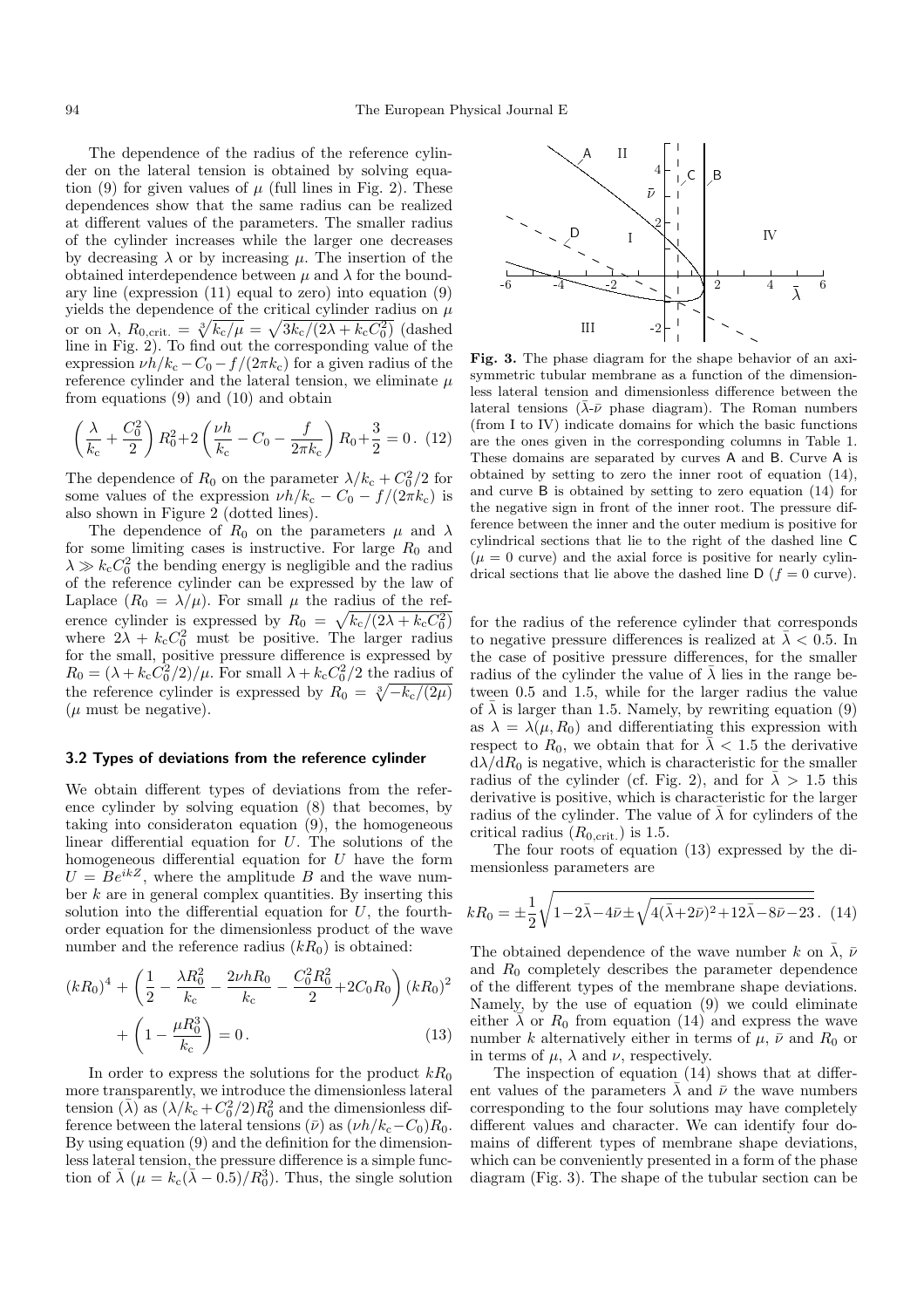The dependence of the radius of the reference cylinder on the lateral tension is obtained by solving equation (9) for given values of  $\mu$  (full lines in Fig. 2). These dependences show that the same radius can be realized at different values of the parameters. The smaller radius of the cylinder increases while the larger one decreases by decreasing  $\lambda$  or by increasing  $\mu$ . The insertion of the obtained interdependence between  $\mu$  and  $\lambda$  for the boundary line (expression  $(11)$  equal to zero) into equation  $(9)$ yields the dependence of the critical cylinder radius on  $\mu$ or on  $\lambda$ ,  $R_{0,\text{crit.}} = \sqrt[3]{k_{\text{c}}/\mu} = \sqrt{3k_{\text{c}}/(2\lambda + k_{\text{c}}C_0^2)}$  (dashed line in Fig. 2). To find out the corresponding value of the expression  $\nu h/k_c - C_0 - f/(2\pi k_c)$  for a given radius of the reference cylinder and the lateral tension, we eliminate  $\mu$ from equations (9) and (10) and obtain

$$
\left(\frac{\lambda}{k_c} + \frac{C_0^2}{2}\right) R_0^2 + 2\left(\frac{\nu h}{k_c} - C_0 - \frac{f}{2\pi k_c}\right) R_0 + \frac{3}{2} = 0. \tag{12}
$$

The dependence of  $R_0$  on the parameter  $\lambda/k_c + C_0^2/2$  for some values of the expression  $\nu h/k_c - C_0 - f/(2\pi k_c)$  is also shown in Figure 2 (dotted lines).

The dependence of  $R_0$  on the parameters  $\mu$  and  $\lambda$ for some limiting cases is instructive. For large  $R_0$  and  $\lambda \gg k_{\rm c} C_0^2$  the bending energy is negligible and the radius of the reference cylinder can be expressed by the law of Laplace  $(R_0 = \lambda/\mu)$ . For small  $\mu$  the radius of the reference cylinder is expressed by  $R_0 = \sqrt{k_c/(2\lambda + k_c C_0^2)}$ where  $2\lambda + k_c C_0^2$  must be positive. The larger radius for the small, positive pressure difference is expressed by  $R_0 = (\lambda + k_c C_0^2/2)/\mu$ . For small  $\lambda + k_c C_0^2/2$  the radius of the reference cylinder is expressed by  $R_0 = \sqrt[3]{-k_c/(2\mu)}$  $(\mu$  must be negative).

### **3.2 Types of deviations from the reference cylinder**

We obtain different types of deviations from the reference cylinder by solving equation (8) that becomes, by taking into consideraton equation (9), the homogeneous linear differential equation for  $U$ . The solutions of the homogeneous differential equation for U have the form  $U = Be^{ikZ}$ , where the amplitude B and the wave number  $k$  are in general complex quantities. By inserting this solution into the differential equation for  $U$ , the fourthorder equation for the dimensionless product of the wave number and the reference radius  $(kR_0)$  is obtained:

$$
(kR_0)^4 + \left(\frac{1}{2} - \frac{\lambda R_0^2}{k_c} - \frac{2\nu h R_0}{k_c} - \frac{C_0^2 R_0^2}{2} + 2C_0 R_0\right) (kR_0)^2
$$

$$
+ \left(1 - \frac{\mu R_0^3}{k_c}\right) = 0.
$$
(13)

In order to express the solutions for the product  $kR_0$ more transparently, we introduce the dimensionless lateral tension  $(\bar{\lambda})$  as  $(\lambda/k_c + C_0^2/2)R_0^2$  and the dimensionless difference between the lateral tensions  $(\bar{\nu})$  as  $(\nu h/k_c-C_0)R_0$ . By using equation (9) and the definition for the dimensionless lateral tension, the pressure difference is a simple function of  $\bar{\lambda}$  ( $\mu = k_c(\bar{\lambda} - 0.5)/R_0^3$ ). Thus, the single solution



**Fig. 3.** The phase diagram for the shape behavior of an axisymmetric tubular membrane as a function of the dimensionless lateral tension and dimensionless difference between the lateral tensions ( $\bar{\lambda}$ - $\bar{\nu}$  phase diagram). The Roman numbers (from I to IV) indicate domains for which the basic functions are the ones given in the corresponding columns in Table 1. These domains are separated by curves A and B. Curve A is obtained by setting to zero the inner root of equation (14), and curve B is obtained by setting to zero equation (14) for the negative sign in front of the inner root. The pressure difference between the inner and the outer medium is positive for cylindrical sections that lie to the right of the dashed line C  $(\mu = 0$  curve) and the axial force is positive for nearly cylindrical sections that lie above the dashed line  $\mathsf{D}$  ( $f = 0$  curve).

for the radius of the reference cylinder that corresponds to negative pressure differences is realized at  $\lambda < 0.5$ . In the case of positive pressure differences, for the smaller radius of the cylinder the value of  $\overline{\lambda}$  lies in the range between 0.5 and 1.5, while for the larger radius the value of  $\lambda$  is larger than 1.5. Namely, by rewriting equation (9) as  $\lambda = \lambda(\mu, R_0)$  and differentiating this expression with respect to  $R_0$ , we obtain that for  $\bar{\lambda}$  < 1.5 the derivative  $d\lambda/dR_0$  is negative, which is characteristic for the smaller radius of the cylinder (cf. Fig. 2), and for  $\bar{\lambda} > 1.5$  this derivative is positive, which is characteristic for the larger radius of the cylinder. The value of  $\bar{\lambda}$  for cylinders of the critical radius  $(R_{0,\text{crit.}})$  is 1.5.

The four roots of equation (13) expressed by the dimensionless parameters are

$$
kR_0 = \pm \frac{1}{2} \sqrt{1 - 2\bar{\lambda} - 4\bar{\nu} \pm \sqrt{4(\bar{\lambda} + 2\bar{\nu})^2 + 12\bar{\lambda} - 8\bar{\nu} - 23}}.
$$
 (14)

The obtained dependence of the wave number k on  $\bar{\lambda}$ ,  $\bar{\nu}$ and  $R_0$  completely describes the parameter dependence of the different types of the membrane shape deviations. Namely, by the use of equation (9) we could eliminate either  $\bar{\lambda}$  or  $R_0$  from equation (14) and express the wave number k alternatively either in terms of  $\mu$ ,  $\bar{\nu}$  and  $R_0$  or in terms of  $\mu$ ,  $\lambda$  and  $\nu$ , respectively.

The inspection of equation (14) shows that at different values of the parameters  $\overline{\lambda}$  and  $\overline{\nu}$  the wave numbers corresponding to the four solutions may have completely different values and character. We can identify four domains of different types of membrane shape deviations, which can be conveniently presented in a form of the phase diagram (Fig. 3). The shape of the tubular section can be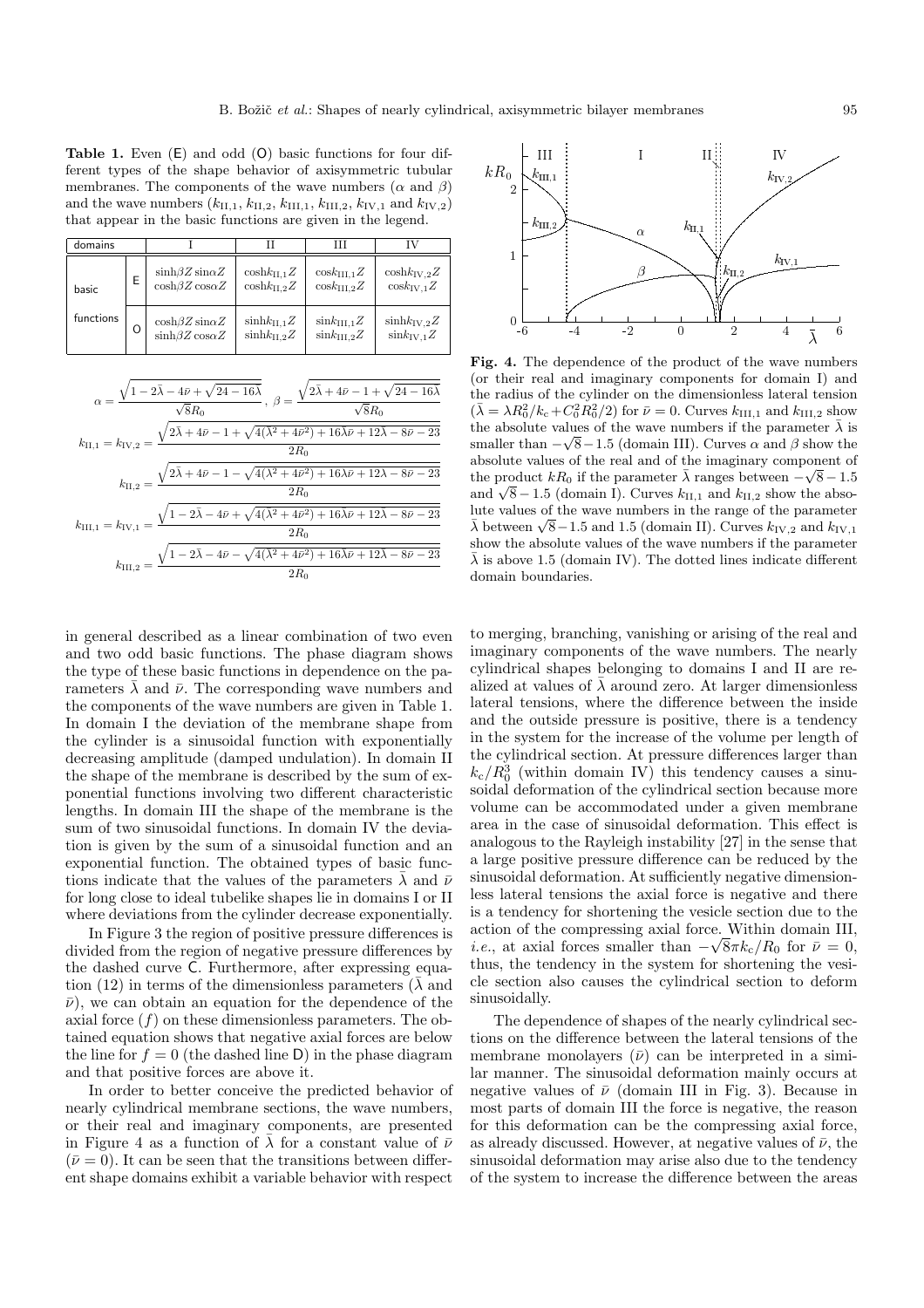**Table 1.** Even (E) and odd (O) basic functions for four different types of the shape behavior of axisymmetric tubular membranes. The components of the wave numbers  $(\alpha \text{ and } \beta)$ and the wave numbers  $(k_{II,1}, k_{II,2}, k_{III,1}, k_{III,2}, k_{IV,1}$  and  $k_{IV,2})$ that appear in the basic functions are given in the legend.

| domains   |   |                                                            |                                                    | Ш                                                | ΓV                                                  |
|-----------|---|------------------------------------------------------------|----------------------------------------------------|--------------------------------------------------|-----------------------------------------------------|
| basic     | E | $\sinh\beta Z \sin\alpha Z$<br>$\cosh\beta Z \cos\alpha Z$ | $\cosh k_{\text{H.1}}Z$<br>$\cosh k_{\text{H}_2}Z$ | $\cos k_{\text{H1.1}}Z$<br>$\cos k_{\rm HI.2}Z$  | $\cosh k_{\rm IV,2}Z$<br>$\cos k_{\text{IV.1}}Z$    |
| functions | Ω | $\cosh\beta Z \sin\alpha Z$<br>$\sinh\beta Z \cos\alpha Z$ | $sinh k_{\text{H},1} Z$<br>$sinh k_{\text{H}_2}Z$  | $\sin k_{\text{H1.1}}Z$<br>$\sin k_{\rm HI.2} Z$ | $sinh k_{\text{IV},2}Z$<br>$\sin k_{\text{IV}}$ $Z$ |

| $\alpha=\frac{\sqrt{1-2\bar{\lambda}-4\bar{\nu}+\sqrt{24-16\bar{\lambda}}}}{\sqrt{8}R_0}\,,\;\beta=\frac{\sqrt{2\bar{\lambda}+4\bar{\nu}}-1+\sqrt{24-16\bar{\lambda}}}{\sqrt{8}R_0}$             |        |  |
|--------------------------------------------------------------------------------------------------------------------------------------------------------------------------------------------------|--------|--|
|                                                                                                                                                                                                  |        |  |
| $k_{\rm II,1}=k_{\rm IV,2}=\frac{\sqrt{2\bar{\lambda}+4\bar{\nu}-1+\sqrt{4(\bar{\lambda}^2+4\bar{\nu}^2)+16\bar{\lambda}\bar{\nu}+12\bar{\lambda}-8\bar{\nu}-23}}{2R\alpha}$                     |        |  |
|                                                                                                                                                                                                  | $2R_0$ |  |
| $k_{\rm II,2}=\frac{\sqrt{2\bar{\lambda}+4\bar{\nu}-1}-\sqrt{4(\bar{\lambda}^2+4\bar{\nu}^2)+16\bar{\lambda}\bar{\nu}+12\bar{\lambda}-8\bar{\nu}-23}}{2R_0}$                                     |        |  |
|                                                                                                                                                                                                  |        |  |
| $k_{\rm III,1}=k_{\rm IV,1}=\frac{\sqrt{1-2\bar{\lambda}-4\bar{\nu}+\sqrt{4(\bar{\lambda}^2+4\bar{\nu}^2)+16\bar{\lambda}\bar{\nu}+12\bar{\lambda}-8\bar{\nu}-23}}{2R{\scriptscriptstyle \sim}}$ |        |  |
|                                                                                                                                                                                                  |        |  |
| $k_{\rm III,2} = \frac{\sqrt{1-2\bar{\lambda}-4\bar{\nu}-\sqrt{4(\bar{\lambda}^2+4\bar{\nu}^2)+16\bar{\lambda}\bar{\nu}+12\bar{\lambda}-8\bar{\nu}-23}}}{2R_0}$                                  |        |  |
|                                                                                                                                                                                                  |        |  |

in general described as a linear combination of two even and two odd basic functions. The phase diagram shows the type of these basic functions in dependence on the parameters  $\overline{\lambda}$  and  $\overline{\nu}$ . The corresponding wave numbers and the components of the wave numbers are given in Table 1. In domain I the deviation of the membrane shape from the cylinder is a sinusoidal function with exponentially decreasing amplitude (damped undulation). In domain II the shape of the membrane is described by the sum of exponential functions involving two different characteristic lengths. In domain III the shape of the membrane is the sum of two sinusoidal functions. In domain IV the deviation is given by the sum of a sinusoidal function and an exponential function. The obtained types of basic functions indicate that the values of the parameters  $\bar{\lambda}$  and  $\bar{\nu}$ for long close to ideal tubelike shapes lie in domains I or II where deviations from the cylinder decrease exponentially.

In Figure 3 the region of positive pressure differences is divided from the region of negative pressure differences by the dashed curve C. Furthermore, after expressing equation (12) in terms of the dimensionless parameters ( $\bar{\lambda}$  and  $\bar{\nu}$ ), we can obtain an equation for the dependence of the axial force  $(f)$  on these dimensionless parameters. The obtained equation shows that negative axial forces are below the line for  $f = 0$  (the dashed line D) in the phase diagram and that positive forces are above it.

In order to better conceive the predicted behavior of nearly cylindrical membrane sections, the wave numbers, or their real and imaginary components, are presented in Figure 4 as a function of  $\overline{\lambda}$  for a constant value of  $\overline{\nu}$  $(\bar{\nu} = 0)$ . It can be seen that the transitions between different shape domains exhibit a variable behavior with respect



**Fig. 4.** The dependence of the product of the wave numbers (or their real and imaginary components for domain I) and the radius of the cylinder on the dimensionless lateral tension  $(\bar{\lambda} = \lambda R_0^2 / k_c + C_0^2 R_0^2 / 2)$  for  $\bar{\nu} = 0$ . Curves  $k_{\text{III},1}$  and  $k_{\text{III},2}$  show the absolute values of the wave numbers if the parameter  $\bar{\lambda}$  is smaller than  $-\sqrt{8}-1.5$  (domain III). Curves  $\alpha$  and  $\beta$  show the absolute values of the real and of the imaginary component of the product  $kR_0$  if the parameter  $\bar{\lambda}$  ranges between  $-\sqrt{8}-1.5$ and  $\sqrt{8} - 1.5$  (domain I). Curves  $k_{II,1}$  and  $k_{II,2}$  show the absolute values of the wave numbers in the range of the parameter  $\bar{\lambda}$  between  $\sqrt{8}-1.5$  and 1.5 (domain II). Curves  $k_{\text{IV,2}}$  and  $k_{\text{IV,1}}$ show the absolute values of the wave numbers if the parameter  $\bar{\lambda}$  is above 1.5 (domain IV). The dotted lines indicate different domain boundaries.

to merging, branching, vanishing or arising of the real and imaginary components of the wave numbers. The nearly cylindrical shapes belonging to domains I and II are realized at values of  $\bar{\lambda}$  around zero. At larger dimensionless lateral tensions, where the difference between the inside and the outside pressure is positive, there is a tendency in the system for the increase of the volume per length of the cylindrical section. At pressure differences larger than  $k_c/R_0^3$  (within domain IV) this tendency causes a sinusoidal deformation of the cylindrical section because more volume can be accommodated under a given membrane area in the case of sinusoidal deformation. This effect is analogous to the Rayleigh instability [27] in the sense that a large positive pressure difference can be reduced by the sinusoidal deformation. At sufficiently negative dimensionless lateral tensions the axial force is negative and there is a tendency for shortening the vesicle section due to the action of the compressing axial force. Within domain III, *i.e.*, at axial forces smaller than  $-\sqrt{8\pi k_c/R_0}$  for  $\bar{\nu} = 0$ , thus the tendency in the system for shortening the vesithus, the tendency in the system for shortening the vesicle section also causes the cylindrical section to deform sinusoidally.

The dependence of shapes of the nearly cylindrical sections on the difference between the lateral tensions of the membrane monolayers  $(\bar{\nu})$  can be interpreted in a similar manner. The sinusoidal deformation mainly occurs at negative values of  $\bar{\nu}$  (domain III in Fig. 3). Because in most parts of domain III the force is negative, the reason for this deformation can be the compressing axial force, as already discussed. However, at negative values of  $\bar{\nu}$ , the sinusoidal deformation may arise also due to the tendency of the system to increase the difference between the areas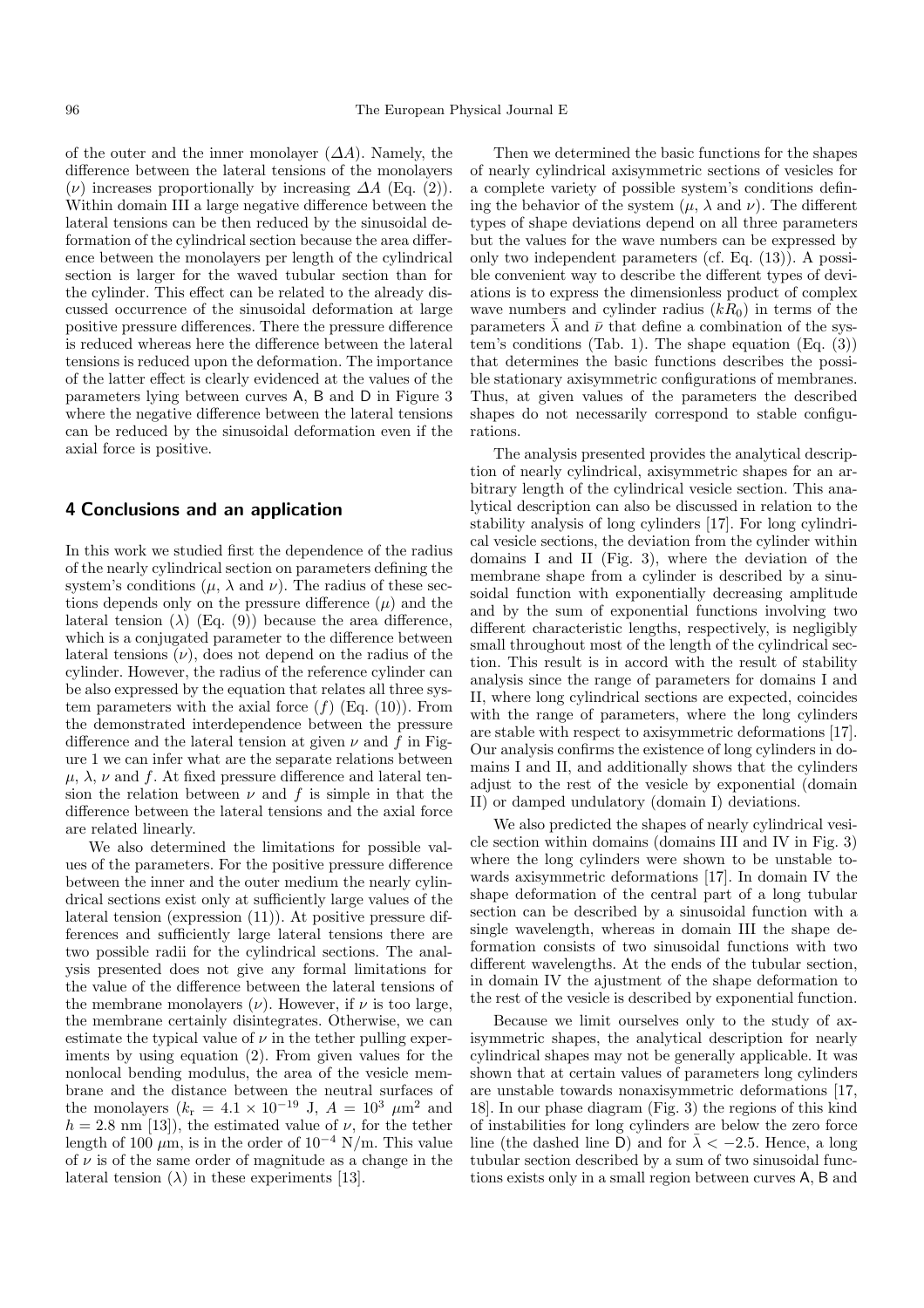of the outer and the inner monolayer  $(\Delta A)$ . Namely, the difference between the lateral tensions of the monolayers  $(\nu)$  increases proportionally by increasing  $\Delta A$  (Eq. (2)). Within domain III a large negative difference between the lateral tensions can be then reduced by the sinusoidal deformation of the cylindrical section because the area difference between the monolayers per length of the cylindrical section is larger for the waved tubular section than for the cylinder. This effect can be related to the already discussed occurrence of the sinusoidal deformation at large positive pressure differences. There the pressure difference is reduced whereas here the difference between the lateral tensions is reduced upon the deformation. The importance of the latter effect is clearly evidenced at the values of the parameters lying between curves A, B and D in Figure 3 where the negative difference between the lateral tensions can be reduced by the sinusoidal deformation even if the axial force is positive.

## **4 Conclusions and an application**

In this work we studied first the dependence of the radius of the nearly cylindrical section on parameters defining the system's conditions  $(\mu, \lambda \text{ and } \nu)$ . The radius of these sections depends only on the pressure difference  $(\mu)$  and the lateral tension ( $\lambda$ ) (Eq. (9)) because the area difference, which is a conjugated parameter to the difference between lateral tensions  $(\nu)$ , does not depend on the radius of the cylinder. However, the radius of the reference cylinder can be also expressed by the equation that relates all three system parameters with the axial force  $(f)$  (Eq. (10)). From the demonstrated interdependence between the pressure difference and the lateral tension at given  $\nu$  and f in Figure 1 we can infer what are the separate relations between  $\mu$ ,  $\lambda$ ,  $\nu$  and f. At fixed pressure difference and lateral tension the relation between  $\nu$  and  $f$  is simple in that the difference between the lateral tensions and the axial force are related linearly.

We also determined the limitations for possible values of the parameters. For the positive pressure difference between the inner and the outer medium the nearly cylindrical sections exist only at sufficiently large values of the lateral tension (expression (11)). At positive pressure differences and sufficiently large lateral tensions there are two possible radii for the cylindrical sections. The analysis presented does not give any formal limitations for the value of the difference between the lateral tensions of the membrane monolayers  $(\nu)$ . However, if  $\nu$  is too large, the membrane certainly disintegrates. Otherwise, we can estimate the typical value of  $\nu$  in the tether pulling experiments by using equation (2). From given values for the nonlocal bending modulus, the area of the vesicle membrane and the distance between the neutral surfaces of the monolayers  $(k_r = 4.1 \times 10^{-19} \text{ J}, A = 10^3 \mu \text{m}^2$  and  $h = 2.8$  nm [13]), the estimated value of  $\nu$ , for the tether length of 100  $\mu$ m, is in the order of 10<sup>-4</sup> N/m. This value of  $\nu$  is of the same order of magnitude as a change in the lateral tension  $(\lambda)$  in these experiments [13].

Then we determined the basic functions for the shapes of nearly cylindrical axisymmetric sections of vesicles for a complete variety of possible system's conditions defining the behavior of the system  $(\mu, \lambda \text{ and } \nu)$ . The different types of shape deviations depend on all three parameters but the values for the wave numbers can be expressed by only two independent parameters (cf. Eq. (13)). A possible convenient way to describe the different types of deviations is to express the dimensionless product of complex wave numbers and cylinder radius  $(kR_0)$  in terms of the parameters  $\lambda$  and  $\bar{\nu}$  that define a combination of the system's conditions (Tab. 1). The shape equation (Eq. (3)) that determines the basic functions describes the possible stationary axisymmetric configurations of membranes. Thus, at given values of the parameters the described shapes do not necessarily correspond to stable configurations.

The analysis presented provides the analytical description of nearly cylindrical, axisymmetric shapes for an arbitrary length of the cylindrical vesicle section. This analytical description can also be discussed in relation to the stability analysis of long cylinders [17]. For long cylindrical vesicle sections, the deviation from the cylinder within domains I and II (Fig. 3), where the deviation of the membrane shape from a cylinder is described by a sinusoidal function with exponentially decreasing amplitude and by the sum of exponential functions involving two different characteristic lengths, respectively, is negligibly small throughout most of the length of the cylindrical section. This result is in accord with the result of stability analysis since the range of parameters for domains I and II, where long cylindrical sections are expected, coincides with the range of parameters, where the long cylinders are stable with respect to axisymmetric deformations [17]. Our analysis confirms the existence of long cylinders in domains I and II, and additionally shows that the cylinders adjust to the rest of the vesicle by exponential (domain II) or damped undulatory (domain I) deviations.

We also predicted the shapes of nearly cylindrical vesicle section within domains (domains III and IV in Fig. 3) where the long cylinders were shown to be unstable towards axisymmetric deformations [17]. In domain IV the shape deformation of the central part of a long tubular section can be described by a sinusoidal function with a single wavelength, whereas in domain III the shape deformation consists of two sinusoidal functions with two different wavelengths. At the ends of the tubular section, in domain IV the ajustment of the shape deformation to the rest of the vesicle is described by exponential function.

Because we limit ourselves only to the study of axisymmetric shapes, the analytical description for nearly cylindrical shapes may not be generally applicable. It was shown that at certain values of parameters long cylinders are unstable towards nonaxisymmetric deformations [17, 18]. In our phase diagram (Fig. 3) the regions of this kind of instabilities for long cylinders are below the zero force line (the dashed line D) and for  $\overline{\lambda} < -2.5$ . Hence, a long tubular section described by a sum of two sinusoidal functions exists only in a small region between curves A, B and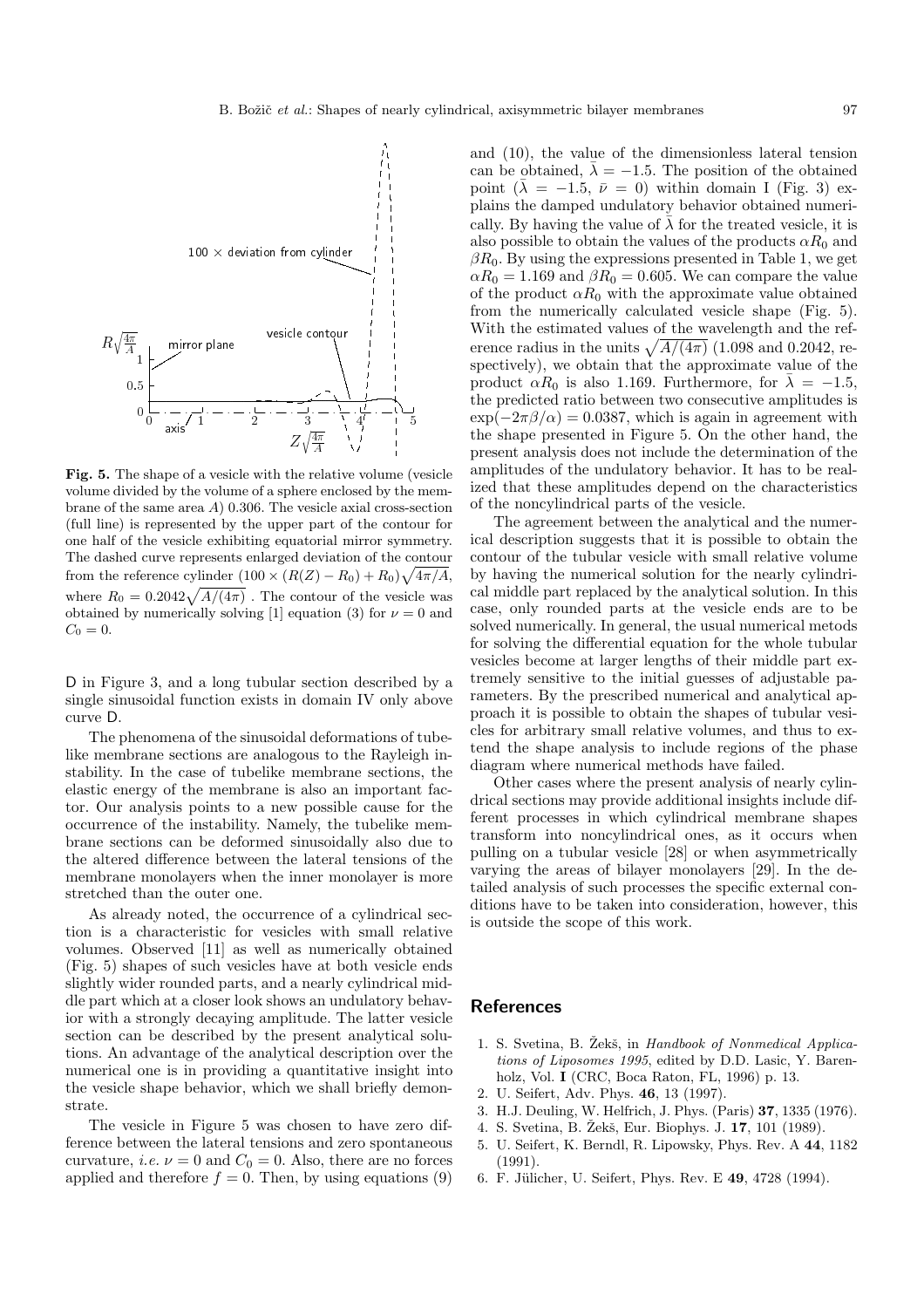

**Fig. 5.** The shape of a vesicle with the relative volume (vesicle volume divided by the volume of a sphere enclosed by the membrane of the same area A) 0.306. The vesicle axial cross-section (full line) is represented by the upper part of the contour for one half of the vesicle exhibiting equatorial mirror symmetry. The dashed curve represents enlarged deviation of the contour from the reference cylinder  $(100 \times (R(Z) - R_0) + R_0)\sqrt{4\pi/A}$ , where  $R_0 = 0.2042\sqrt{A/(4\pi)}$ . The contour of the vesicle was obtained by numerically solving [1] equation (3) for  $\nu = 0$  and  $C_0 = 0.$ 

D in Figure 3, and a long tubular section described by a single sinusoidal function exists in domain IV only above curve D.

The phenomena of the sinusoidal deformations of tubelike membrane sections are analogous to the Rayleigh instability. In the case of tubelike membrane sections, the elastic energy of the membrane is also an important factor. Our analysis points to a new possible cause for the occurrence of the instability. Namely, the tubelike membrane sections can be deformed sinusoidally also due to the altered difference between the lateral tensions of the membrane monolayers when the inner monolayer is more stretched than the outer one.

As already noted, the occurrence of a cylindrical section is a characteristic for vesicles with small relative volumes. Observed [11] as well as numerically obtained (Fig. 5) shapes of such vesicles have at both vesicle ends slightly wider rounded parts, and a nearly cylindrical middle part which at a closer look shows an undulatory behavior with a strongly decaying amplitude. The latter vesicle section can be described by the present analytical solutions. An advantage of the analytical description over the numerical one is in providing a quantitative insight into the vesicle shape behavior, which we shall briefly demonstrate.

The vesicle in Figure 5 was chosen to have zero difference between the lateral tensions and zero spontaneous curvature, *i.e.*  $\nu = 0$  and  $C_0 = 0$ . Also, there are no forces applied and therefore  $f = 0$ . Then, by using equations (9) and (10), the value of the dimensionless lateral tension can be obtained,  $\bar{\lambda} = -1.5$ . The position of the obtained point  $(\lambda = -1.5, \bar{\nu} = 0)$  within domain I (Fig. 3) explains the damped undulatory behavior obtained numerically. By having the value of  $\bar{\lambda}$  for the treated vesicle, it is also possible to obtain the values of the products  $\alpha R_0$  and  $\beta R_0$ . By using the expressions presented in Table 1, we get  $\alpha R_0 = 1.169$  and  $\beta R_0 = 0.605$ . We can compare the value of the product  $\alpha R_0$  with the approximate value obtained from the numerically calculated vesicle shape (Fig. 5). With the estimated values of the wavelength and the reference radius in the units  $\sqrt{A/(4\pi)}$  (1.098 and 0.2042, respectively), we obtain that the approximate value of the product  $\alpha R_0$  is also 1.169. Furthermore, for  $\overline{\lambda} = -1.5$ , the predicted ratio between two consecutive amplitudes is  $\exp(-2\pi\beta/\alpha)=0.0387$ , which is again in agreement with the shape presented in Figure 5. On the other hand, the present analysis does not include the determination of the amplitudes of the undulatory behavior. It has to be realized that these amplitudes depend on the characteristics of the noncylindrical parts of the vesicle.

The agreement between the analytical and the numerical description suggests that it is possible to obtain the contour of the tubular vesicle with small relative volume by having the numerical solution for the nearly cylindrical middle part replaced by the analytical solution. In this case, only rounded parts at the vesicle ends are to be solved numerically. In general, the usual numerical metods for solving the differential equation for the whole tubular vesicles become at larger lengths of their middle part extremely sensitive to the initial guesses of adjustable parameters. By the prescribed numerical and analytical approach it is possible to obtain the shapes of tubular vesicles for arbitrary small relative volumes, and thus to extend the shape analysis to include regions of the phase diagram where numerical methods have failed.

Other cases where the present analysis of nearly cylindrical sections may provide additional insights include different processes in which cylindrical membrane shapes transform into noncylindrical ones, as it occurs when pulling on a tubular vesicle [28] or when asymmetrically varying the areas of bilayer monolayers [29]. In the detailed analysis of such processes the specific external conditions have to be taken into consideration, however, this is outside the scope of this work.

## **References**

- 1. S. Svetina, B. Žekš, in Handbook of Nonmedical Applications of Liposomes 1995, edited by D.D. Lasic, Y. Barenholz, Vol. **I** (CRC, Boca Raton, FL, 1996) p. 13.
- 2. U. Seifert, Adv. Phys. **46**, 13 (1997).
- 3. H.J. Deuling, W. Helfrich, J. Phys. (Paris) **37**, 1335 (1976).
- 4. S. Svetina, B. Žekš, Eur. Biophys. J. **17**, 101 (1989).
- 5. U. Seifert, K. Berndl, R. Lipowsky, Phys. Rev. A **44**, 1182 (1991).
- 6. F. Jülicher, U. Seifert, Phys. Rev. E 49, 4728 (1994).